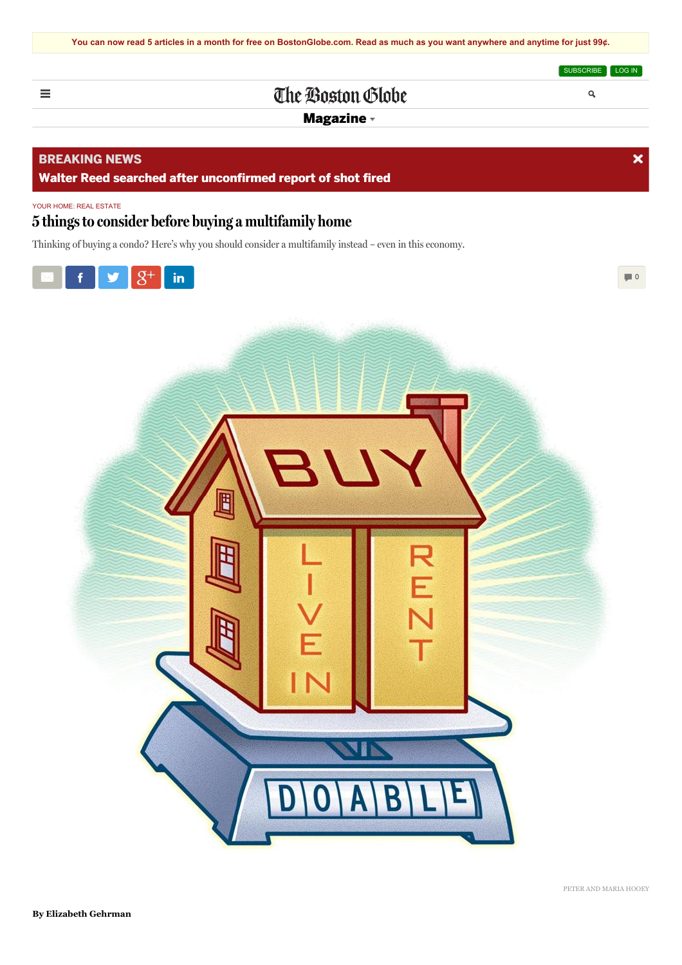[SUBSCRIBE](http://digitalaccess.bostonglobe.com/da/63?eglobe_rc=WW111946&globe_rc=WW111947&p1=BGHeader_DigitalSubscription) [LOG](https://www.bostonglobe.com/eom/SysConfig/WebPortal/BostonGlobe/Framework/regi/final-login.jsp?p1=BGHeader_LogIn) IN

 $\overline{\mathbf{x}}$ 

Q

# The Boston Globe

[Magazine](/magazine)

### **BREAKING NEWS**

<span id="page-0-0"></span> $\equiv$ 

**Walter Reed searched after [unconfirmed](http://www.bostonglobe.com/news/nation/2015/07/06/police-check-report-shot-fired-walter-reed-hospital/97jgpxvgjAw2KjCaFcIMOP/story.html) report of shot fired**

#### YOUR HOME: REAL ESTATE

## **5 thingsto consider before buying a multifamily home**

Thinking of buying a condo? Here's why you should consider a multifamily instead – even in this economy.



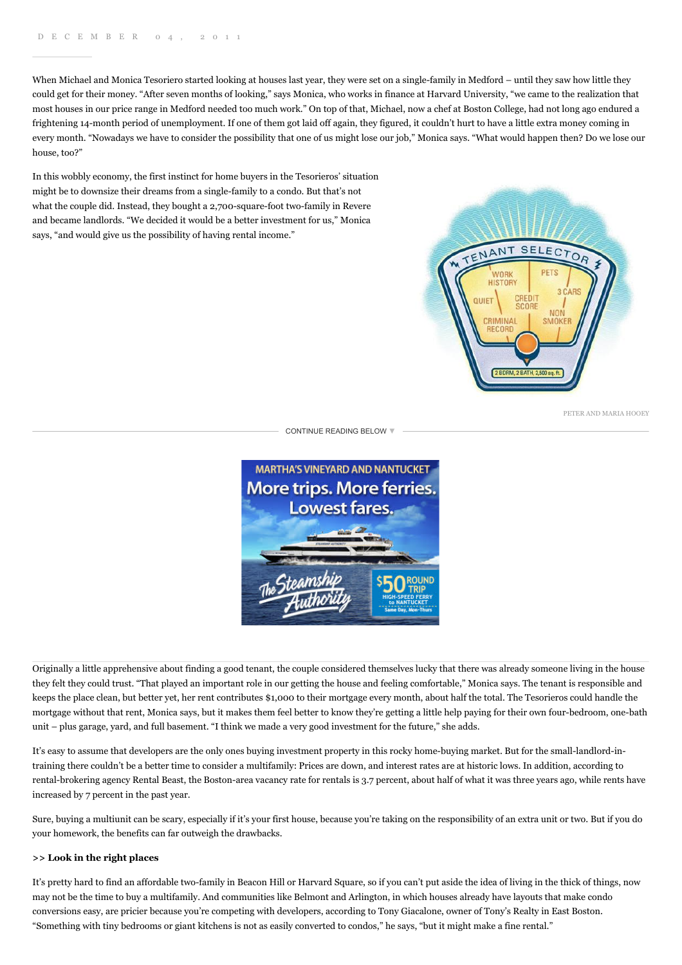When Michael and Monica Tesoriero started looking at houses last year, they were set on a single-family in Medford – until they saw how little they could get for their money. "After seven months of looking," says Monica, who works in finance at Harvard University, "we came to the realization that most houses in our price range in Medford needed too much work." On top of that, Michael, now a chef at Boston College, had not long ago endured a frightening 14-month period of unemployment. If one of them got laid off again, they figured, it couldn't hurt to have a little extra money coming in every month. "Nowadays we have to consider the possibility that one of us might lose our job," Monica says. "What would happen then? Do we lose our house, too?"

In this wobbly economy, the first instinct for home buyers in the Tesorieros' situation might be to downsize their dreams from a single-family to a condo. But that's not what the couple did. Instead, they bought a 2,700-square-foot two-family in Revere and became landlords. "We decided it would be a better investment for us," Monica says, "and would give us the possibility of having rental income."



PETER AND MARIA HOOEY

[CONTINUE](#page-0-0) READING BELOW ▼



Originally a little apprehensive about finding a good tenant, the couple considered themselves lucky that there was already someone living in the house they felt they could trust. "That played an important role in our getting the house and feeling comfortable," Monica says. The tenant is responsible and keeps the place clean, but better yet, her rent contributes \$1,000 to their mortgage every month, about half the total. The Tesorieros could handle the mortgage without that rent, Monica says, but it makes them feel better to know they're getting a little help paying for their own four-bedroom, one-bath unit – plus garage, yard, and full basement. "I think we made a very good investment for the future," she adds.

It's easy to assume that developers are the only ones buying investment property in this rocky home-buying market. But for the small-landlord-intraining there couldn't be a better time to consider a multifamily: Prices are down, and interest rates are at historic lows. In addition, according to rental-brokering agency Rental Beast, the Boston-area vacancy rate for rentals is 3.7 percent, about half of what it was three years ago, while rents have increased by 7 percent in the past year.

Sure, buying a multiunit can be scary, especially if it's your first house, because you're taking on the responsibility of an extra unit or two. But if you do your homework, the benefits can far outweigh the drawbacks.

#### **>> Look in the right places**

It's pretty hard to find an affordable two-family in Beacon Hill or Harvard Square, so if you can't put aside the idea of living in the thick of things, now may not be the time to buy a multifamily. And communities like Belmont and Arlington, in which houses already have layouts that make condo conversions easy, are pricier because you're competing with developers, according to Tony Giacalone, owner of Tony's Realty in East Boston. "Something with tiny bedrooms or giant kitchens is not as easily converted to condos," he says, "but it might make a fine rental."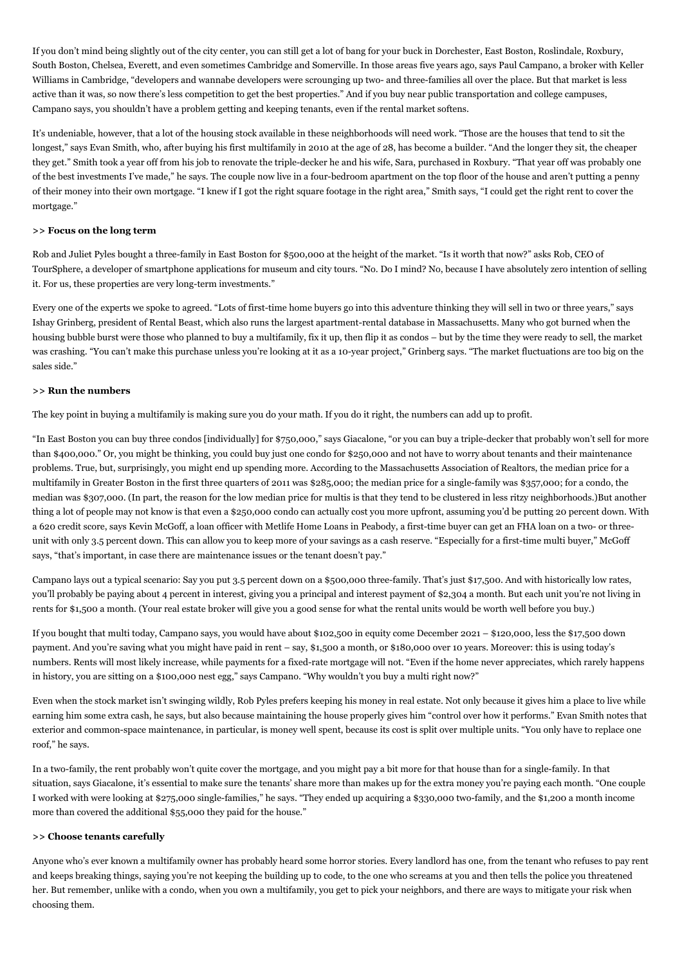If you don't mind being slightly out of the city center, you can still get a lot of bang for your buck in Dorchester, East Boston, Roslindale, Roxbury, South Boston, Chelsea, Everett, and even sometimes Cambridge and Somerville. In those areas five years ago, says Paul Campano, a broker with Keller Williams in Cambridge, "developers and wannabe developers were scrounging up two- and three-families all over the place. But that market is less active than it was, so now there's less competition to get the best properties." And if you buy near public transportation and college campuses, Campano says, you shouldn't have a problem getting and keeping tenants, even if the rental market softens.

It's undeniable, however, that a lot of the housing stock available in these neighborhoods will need work. "Those are the houses that tend to sit the longest," says Evan Smith, who, after buying his first multifamily in 2010 at the age of 28, has become a builder. "And the longer they sit, the cheaper they get." Smith took a year off from his job to renovate the triple-decker he and his wife, Sara, purchased in Roxbury. "That year off was probably one of the best investments I've made," he says. The couple now live in a four-bedroom apartment on the top floor of the house and aren't putting a penny of their money into their own mortgage. "I knew if I got the right square footage in the right area," Smith says, "I could get the right rent to cover the mortgage."

#### **>> Focus on the long term**

Rob and Juliet Pyles bought a three-family in East Boston for \$500,000 at the height of the market. "Is it worth that now?" asks Rob, CEO of TourSphere, a developer of smartphone applications for museum and city tours. "No. Do I mind? No, because I have absolutely zero intention of selling it. For us, these properties are very long-term investments."

Every one of the experts we spoke to agreed. "Lots of first-time home buyers go into this adventure thinking they will sell in two or three years," says Ishay Grinberg, president of Rental Beast, which also runs the largest apartment-rental database in Massachusetts. Many who got burned when the housing bubble burst were those who planned to buy a multifamily, fix it up, then flip it as condos – but by the time they were ready to sell, the market was crashing. "You can't make this purchase unless you're looking at it as a 10-year project," Grinberg says. "The market fluctuations are too big on the sales side."

#### **>> Run the numbers**

The key point in buying a multifamily is making sure you do your math. If you do it right, the numbers can add up to profit.

"In East Boston you can buy three condos [individually] for \$750,000," says Giacalone, "or you can buy a triple-decker that probably won't sell for more than \$400,000." Or, you might be thinking, you could buy just one condo for \$250,000 and not have to worry about tenants and their maintenance problems. True, but, surprisingly, you might end up spending more. According to the Massachusetts Association of Realtors, the median price for a multifamily in Greater Boston in the first three quarters of 2011 was \$285,000; the median price for a single-family was \$357,000; for a condo, the median was \$307,000. (In part, the reason for the low median price for multis is that they tend to be clustered in less ritzy neighborhoods.)But another thing a lot of people may not know is that even a \$250,000 condo can actually cost you more upfront, assuming you'd be putting 20 percent down. With a 620 credit score, says Kevin McGoff, a loan officer with Metlife Home Loans in Peabody, a first-time buyer can get an FHA loan on a two- or threeunit with only 3.5 percent down. This can allow you to keep more of your savings as a cash reserve. "Especially for a first-time multi buyer," McGoff says, "that's important, in case there are maintenance issues or the tenant doesn't pay."

Campano lays out a typical scenario: Say you put 3.5 percent down on a \$500,000 three-family. That's just \$17,500. And with historically low rates, you'll probably be paying about 4 percent in interest, giving you a principal and interest payment of \$2,304 a month. But each unit you're not living in rents for \$1,500 a month. (Your real estate broker will give you a good sense for what the rental units would be worth well before you buy.)

If you bought that multi today, Campano says, you would have about \$102,500 in equity come December 2021 – \$120,000, less the \$17,500 down payment. And you're saving what you might have paid in rent – say, \$1,500 a month, or \$180,000 over 10 years. Moreover: this is using today's numbers. Rents will most likely increase, while payments for a fixed-rate mortgage will not. "Even if the home never appreciates, which rarely happens in history, you are sitting on a \$100,000 nest egg," says Campano. "Why wouldn't you buy a multi right now?"

Even when the stock market isn't swinging wildly, Rob Pyles prefers keeping his money in real estate. Not only because it gives him a place to live while earning him some extra cash, he says, but also because maintaining the house properly gives him "control over how it performs." Evan Smith notes that exterior and common-space maintenance, in particular, is money well spent, because its cost is split over multiple units. "You only have to replace one roof," he says.

In a two-family, the rent probably won't quite cover the mortgage, and you might pay a bit more for that house than for a single-family. In that situation, says Giacalone, it's essential to make sure the tenants' share more than makes up for the extra money you're paying each month. "One couple I worked with were looking at \$275,000 single-families," he says. "They ended up acquiring a \$330,000 two-family, and the \$1,200 a month income more than covered the additional \$55,000 they paid for the house."

#### **>> Choose tenants carefully**

Anyone who's ever known a multifamily owner has probably heard some horror stories. Every landlord has one, from the tenant who refuses to pay rent and keeps breaking things, saying you're not keeping the building up to code, to the one who screams at you and then tells the police you threatened her. But remember, unlike with a condo, when you own a multifamily, you get to pick your neighbors, and there are ways to mitigate your risk when choosing them.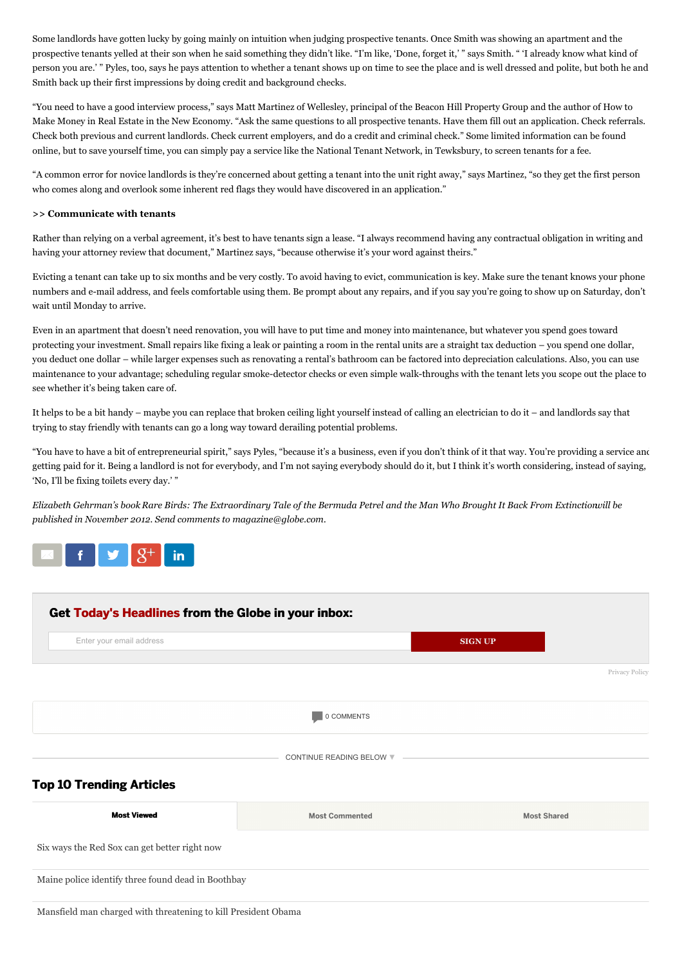Some landlords have gotten lucky by going mainly on intuition when judging prospective tenants. Once Smith was showing an apartment and the prospective tenants yelled at their son when he said something they didn't like. "I'm like, 'Done, forget it,' " says Smith. " 'I already know what kind of person you are.' " Pyles, too, says he pays attention to whether a tenant shows up on time to see the place and is well dressed and polite, but both he and Smith back up their first impressions by doing credit and background checks.

"You need to have a good interview process," says Matt Martinez of Wellesley, principal of the Beacon Hill Property Group and the author of How to Make Money in Real Estate in the New Economy. "Ask the same questions to all prospective tenants. Have them fill out an application. Check referrals. Check both previous and current landlords. Check current employers, and do a credit and criminal check." Some limited information can be found online, but to save yourself time, you can simply pay a service like the National Tenant Network, in Tewksbury, to screen tenants for a fee.

"A common error for novice landlords is they're concerned about getting a tenant into the unit right away," says Martinez, "so they get the first person who comes along and overlook some inherent red flags they would have discovered in an application."

#### **>> Communicate with tenants**

Rather than relying on a verbal agreement, it's best to have tenants sign a lease. "I always recommend having any contractual obligation in writing and having your attorney review that document," Martinez says, "because otherwise it's your word against theirs."

Evicting a tenant can take up to six months and be very costly. To avoid having to evict, communication is key. Make sure the tenant knows your phone numbers and e-mail address, and feels comfortable using them. Be prompt about any repairs, and if you say you're going to show up on Saturday, don't wait until Monday to arrive.

Even in an apartment that doesn't need renovation, you will have to put time and money into maintenance, but whatever you spend goes toward protecting your investment. Small repairs like fixing a leak or painting a room in the rental units are a straight tax deduction – you spend one dollar, you deduct one dollar – while larger expenses such as renovating a rental's bathroom can be factored into depreciation calculations. Also, you can use maintenance to your advantage; scheduling regular smoke-detector checks or even simple walk-throughs with the tenant lets you scope out the place to see whether it's being taken care of.

It helps to be a bit handy – maybe you can replace that broken ceiling light yourself instead of calling an electrician to do it – and landlords say that trying to stay friendly with tenants can go a long way toward derailing potential problems.

"You have to have a bit of entrepreneurial spirit," says Pyles, "because it's a business, even if you don't think of it that way. You're providing a service and getting paid for it. Being a landlord is not for everybody, and I'm not saying everybody should do it, but I think it's worth considering, instead of saying, 'No, I'll be fixing toilets every day.' "

Elizabeth Gehrman's book Rare Birds: The Extraordinary Tale of the Bermuda Petrel and the Man Who Brought It Back From Extinctionvill be *published in November 2012. Send comments to magazine@globe.com.*



<span id="page-3-0"></span>

Mansfield man charged with [threatening](http://www.bostonglobe.com/metro/2015/07/06/mansfield-man-charged-with-threatening-kill-president-obama/D21xsFDwp6xsfLJz9rTPSJ/story.html?p1=Article_Trending_Most_Viewed) to kill President Obama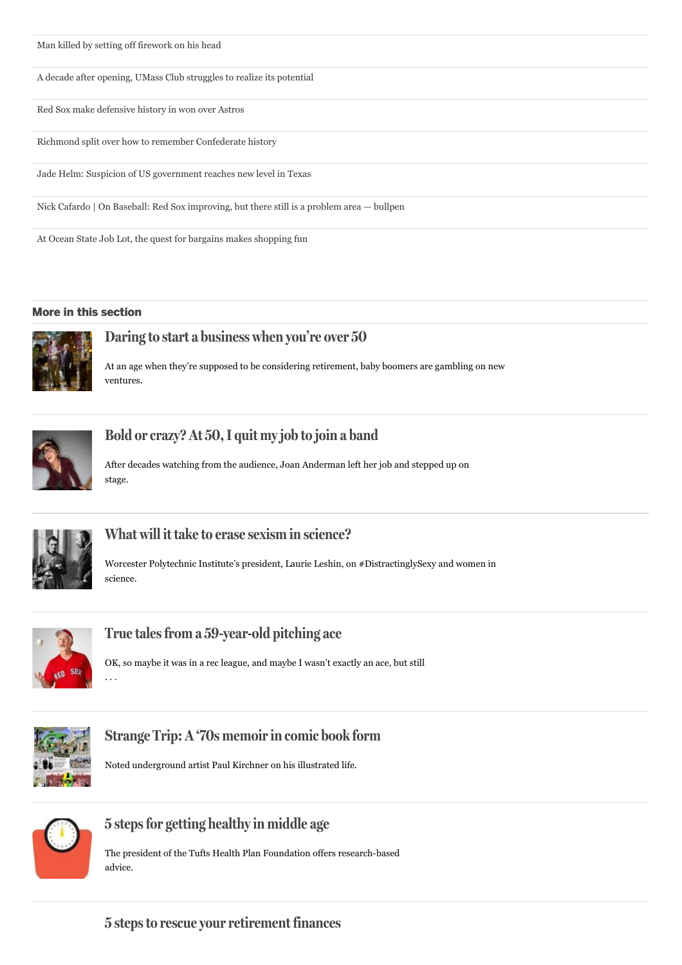<span id="page-4-0"></span>

A decade after opening, UMass Club [struggles](http://www.bostonglobe.com/business/2015/07/05/decade-after-opening-umass-club-struggles-realize-its-potential/dzVNmmN0Dlx3ZwiCk4tlCJ/story.html?p1=Article_Trending_Most_Viewed) to realize its potential

Red Sox make [defensive](http://www.bostonglobe.com/sports/2015/07/06/red-sox-make-defensive-history-won-over-astros/rOdCBSMdpZtLdUyIlemRxK/story.html?p1=Article_Trending_Most_Viewed) history in won over Astros

Richmond split over how to remember [Confederate](http://www.bostonglobe.com/news/nation/2015/07/04/capital-old-confederacy-new-fight-about-inequality-how-remember-past/NmoeO0dcJfaU9PqUAwuNuI/story.html?p1=Article_Trending_Most_Viewed) history

Jade Helm: Suspicion of US [government](http://www.bostonglobe.com/news/nation/2015/05/25/divided-america-theories-military-takeover-texas-find-legitimacy-political-mainstream/KSScgClOewjIXXisqkF5IM/story.html?p1=Article_Trending_Most_Viewed) reaches new level in Texas

Nick Cafardo | On Baseball: Red Sox [improving,](http://www.bostonglobe.com/sports/2015/07/05/onball/Jjc8z4Iqodla2bHgbaF4bM/story.html?p1=Article_Trending_Most_Viewed) but there still is a problem area — bullpen

At Ocean State Job Lot, the quest for bargains makes [shopping](http://www.bostonglobe.com/lifestyle/2015/07/05/joblot/zOh38FHYLEJnZk2bz779DO/story.html?p1=Article_Trending_Most_Viewed) fun

#### **More in this [section](/magazine)**



## **Daring to start a [business](/magazine/2015/06/24/daring-start-business-when-you-over/OdSfM7bqTBXXcvN2wVmQ2N/story.html?p1=Article_InThisSection_Bottom) when you're over 50**

At an age when they're supposed to be considering retirement, baby boomers are gambling on new ventures.



## **Bold [orcrazy?](/magazine/2015/06/26/bold-crazy-quit-job-join-band/uDHgkMdvCfWFqlipHZV2SJ/story.html?p1=Article_InThisSection_Bottom) At 50,I quit myjob to join a band**

After decades watching from the audience, Joan Anderman left her job and stepped up on stage.



### **What will it take to erase sexism in [science?](/magazine/2015/06/24/what-will-take-erase-sexism-science/0McrdEoKODKrVxR9v1oAFJ/story.html?p1=Article_InThisSection_Bottom)**

Worcester Polytechnic Institute's president, Laurie Leshin, on #DistractinglySexy and women in science.



### **True talesfrom a [59-year-old](/magazine/2015/06/25/true-tales-from-year-old-pitching-ace/UkgvvwXKLcsuySbMjR6t3I/story.html?p1=Article_InThisSection_Bottom) pitching ace**

OK, so maybe it was in a rec league, and maybe I wasn't exactly an ace, but still . . .



### **Strange Trip: A '70s [memoirin](/magazine/2015/06/27/strange-trip-memoir-comic-book-form/cwklIjVyVREQR4isGFGclN/story.html?p1=Article_InThisSection_Bottom) comic book form**

Noted underground artist Paul Kirchner on his illustrated life.



### **5 stepsfor getting [healthyin](/magazine/2015/06/27/steps-for-getting-healthy-middle-age/CHijQvPtNgnxkgKtT1so3I/story.html?p1=Article_InThisSection_Bottom) middle age**

The president of the Tufts Health Plan Foundation offers research-based advice.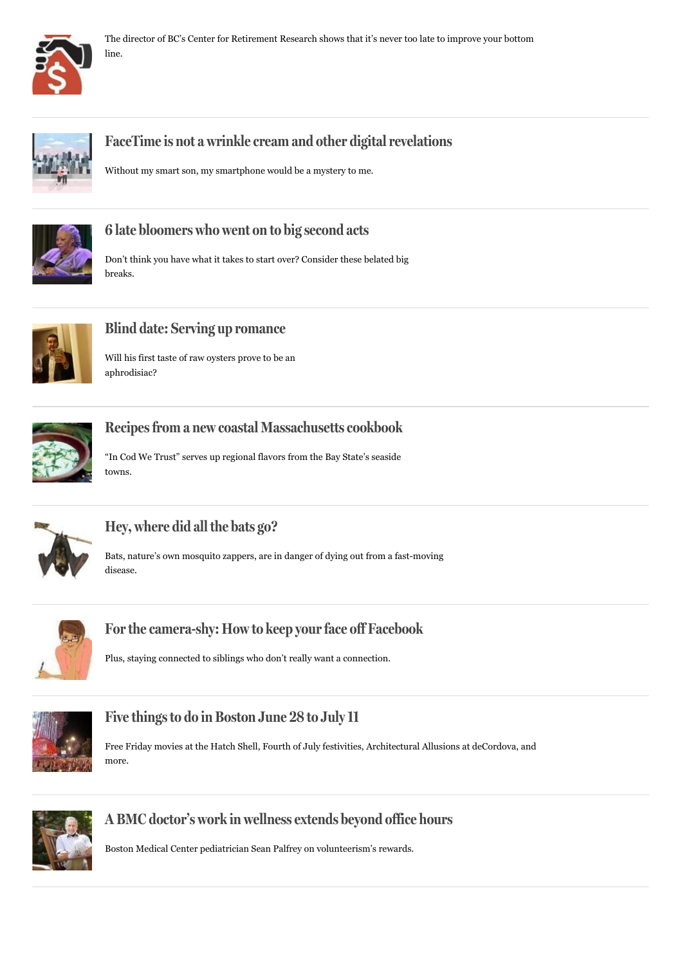



## **FaceTime is not a wrinkle cream and other [digitalrevelations](/magazine/2015/06/25/facetime-not-wrinkle-cream-and-other-digital-revelations/eBo5flkq6G8mFCjP5fbTuO/story.html?p1=Article_InThisSection_Bottom)**

Without my smart son, my smartphone would be a mystery to me.



## **6 late [bloomers](/magazine/2015/06/27/late-bloomers-who-went-big-second-acts/AKIBIafwPuERiUSVY73IJJ/story.html?p1=Article_InThisSection_Bottom) who went on to big second acts**

Don't think you have what it takes to start over? Consider these belated big breaks.



## **Blind date: Serving up [romance](/magazine/2015/06/27/blind-date-serving-romance/epkvoPdJGr95cgu213w2DM/story.html?p1=Article_InThisSection_Bottom)**

Will his first taste of raw oysters prove to be an aphrodisiac?



## **Recipesfrom a new coastal [Massachusettscookbook](/magazine/2015/06/27/recipes-from-new-coastal-massachusetts-cookbook/Qq4Xyo0gBJfWkH18skqZDM/story.html?p1=Article_InThisSection_Bottom)**

"In Cod We Trust" serves up regional flavors from the Bay State's seaside towns.



## **Hey, [where](/magazine/2015/06/27/hey-where-did-all-bats/ad7Ve6Q7PtfnAE4Fv901BM/story.html?p1=Article_InThisSection_Bottom) did all the bats go?**

Bats, nature's own mosquito zappers, are in danger of dying out from a fast-moving disease.



## **Forthe [camera-shy:](/magazine/2015/06/27/for-camera-shy-how-keep-your-face-off-facebook/4MpoAo67qvpw5414nhnzAM/story.html?p1=Article_InThisSection_Bottom) How to keep yourface off Facebook**

Plus, staying connected to siblings who don't really want a connection.



## **Five [thingsto](/magazine/2015/06/27/five-things-boston-june-july/axpPi4NM1siCZnfhVH0vAM/story.html?p1=Article_InThisSection_Bottom) do in Boston June 28 to July11**

Free Friday movies at the Hatch Shell, Fourth of July festivities, Architectural Allusions at deCordova, and more.



## **A BMC doctor's work in [wellness](/magazine/2015/06/27/bmc-doctor-work-wellness-extends-beyond-office-hours/qbUsI12T4dEBDdXvLJ3rAM/story.html?p1=Article_InThisSection_Bottom) extends beyond office hours**

Boston Medical Center pediatrician Sean Palfrey on volunteerism's rewards.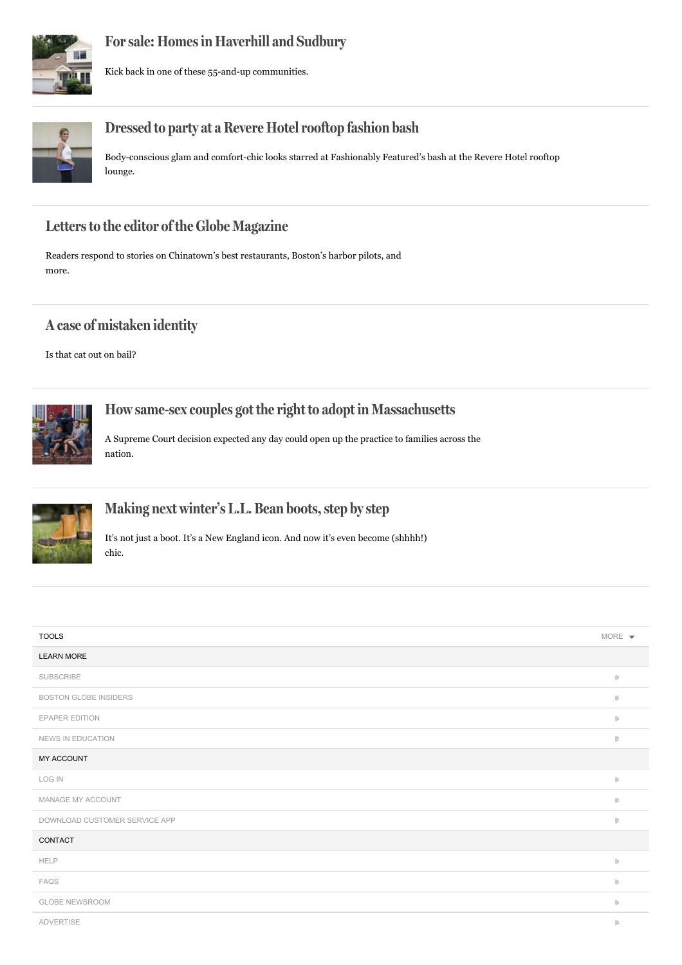

## **Forsale: [Homesin](/magazine/2015/06/27/for-sale-homes-haverhill-and-sudbury/UuHCaB5luU5VolbWgcnr9L/story.html?p1=Article_InThisSection_Bottom) Haverhill and Sudbury**

Kick back in one of these 55-and-up communities.



## **Dressed to party at a Revere [Hotelrooftop](/magazine/2015/06/27/dressed-party-revere-hotel-rooftop-fashion-bash/GHt9GjcMYdZ3V49qzrt3HJ/story.html?p1=Article_InThisSection_Bottom) fashion bash**

Body-conscious glam and comfort-chic looks starred at Fashionably Featured's bash at the Revere Hotel rooftop lounge.

## **Lettersto the editor of the Globe [Magazine](/magazine/2015/06/27/letters-editor-globe-magazine/2RcSV0U5idHyxWXBdHCk8L/story.html?p1=Article_InThisSection_Bottom)**

Readers respond to stories on Chinatown's best restaurants, Boston's harbor pilots, and more.

## **A case of [mistaken](/magazine/2015/06/27/case-mistaken-identity/MwEvy1PQQFCIQBacbEsf8L/story.html?p1=Article_InThisSection_Bottom) identity**

Is that cat out on bail?



## **How same-sex couples got the right to adopt in [Massachusetts](/magazine/2015/06/17/how-same-sex-couples-got-right-adopt-massachusetts/ulOm76fNVLApennqpzrVsI/story.html?p1=Article_InThisSection_Bottom)**

A Supreme Court decision expected any day could open up the practice to families across the nation.



## **Making next winter's L.L. Bean [boots,step](/magazine/2015/06/20/photo-essay-sole-bean/EyxrdyN1bVe7pYqyBYL1ZO/story.html?p1=Article_InThisSection_Bottom) bystep**

It's not just a boot. It's a New England icon. And now it's even become (shhhh!) chic.

| <b>TOOLS</b>                  | MORE $\sqrt{*}$                                                                          |
|-------------------------------|------------------------------------------------------------------------------------------|
| <b>LEARN MORE</b>             |                                                                                          |
| <b>SUBSCRIBE</b>              | $\parallel$                                                                              |
| <b>BOSTON GLOBE INSIDERS</b>  | $\left\Vert \cdot\right\Vert$                                                            |
| <b>EPAPER EDITION</b>         | $\mathbb B$                                                                              |
| NEWS IN EDUCATION             | $\left\Vert \cdot\right\Vert$                                                            |
| MY ACCOUNT                    |                                                                                          |
| <b>LOG IN</b>                 | $\parallel$                                                                              |
| MANAGE MY ACCOUNT             | $\parallel$                                                                              |
| DOWNLOAD CUSTOMER SERVICE APP | $\left\Vert \cdot\right\Vert$                                                            |
| CONTACT                       |                                                                                          |
| <b>HELP</b>                   | $\begin{array}{c} \begin{array}{c} \begin{array}{c} \end{array} \end{array} \end{array}$ |
| FAQS                          | $\left\Vert \cdot\right\Vert$                                                            |
| <b>GLOBE NEWSROOM</b>         | $\begin{array}{c} \begin{array}{c} \begin{array}{c} \end{array} \end{array} \end{array}$ |
| ADVERTISE                     | $\begin{array}{c} \begin{array}{c} \end{array} \end{array}$                              |